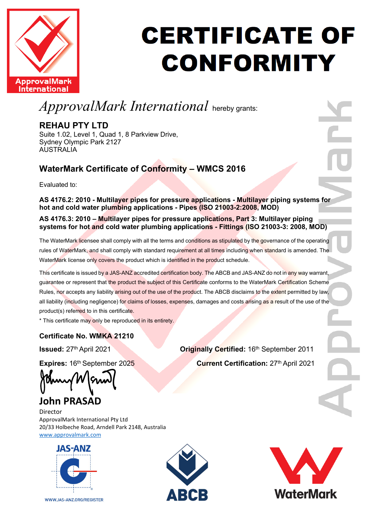

#### **CERTIFICATE OF CONFORMITY**

#### *ApprovalMark International* hereby grants:

#### **REHAU PTY LTD**

Suite 1.02, Level 1, Quad 1, 8 Parkview Drive, Sydney Olympic Park 2127 **AUSTRALIA** 

#### **WaterMark Certificate of Conformity – WMCS 2016**

Evaluated to:

#### **AS 4176.2: 2010 - Multilayer pipes for pressure applications - Multilayer piping systems for hot and cold water plumbing applications - Pipes (ISO 21003-2:2008, MOD)**

#### **AS 4176.3: 2010 – Multilayer pipes for pressure applications, Part 3: Multilayer piping systems for hot and cold water plumbing applications - Fittings (ISO 21003-3: 2008, MOD)**

The WaterMark licensee shall comply with all the terms and conditions as stipulated by the governance of the operating rules of WaterMark, and shall comply with standard requirement at all times including when standard is amended. The WaterMark license only covers the product which is identified in the product schedule.

This certificate is issued by a JAS-ANZ accredited certification body. The ABCB and JAS-ANZ do not in any way warrant, guarantee or represent that the product the subject of this Certificate conforms to the WaterMark Certification Scheme Rules, nor accepts any liability arising out of the use of the product. The ABCB disclaims to the extent permitted by law, all liability (including negligence) for claims of losses, expenses, damages and costs arising as a result of the use of the product(s) referred to in this certificate.

\* This certificate may only be reproduced in its entirety.

#### **Certificate No. WMKA 21210**

**Issued:** 27<sup>th</sup> April 2021 **Certified:** 16<sup>th</sup> September 2011

**Expires:** 16<sup>th</sup> September 2025 **Current Certification:** 27<sup>th</sup> April 2021

#### **John PRASAD**

Director ApprovalMark International Pty Ltd 20/33 Holbeche Road, Arndell Park 2148, Australia [www.approvalmark.com](http://www.approvalmark.com/)



WWW.JAS-ANZ.ORG/REGISTER



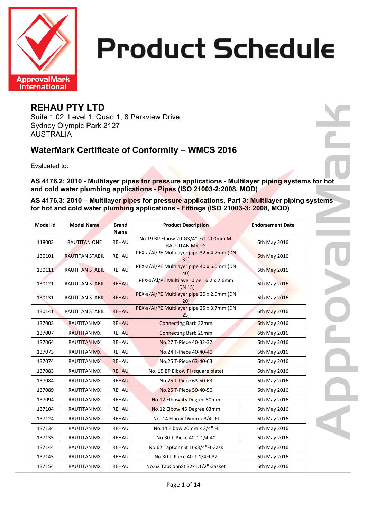

#### **REHAU PTY LTD**

Suite 1.02, Level 1, Quad 1, 8 Parkview Drive, Sydney Olympic Park 2127 AUSTRALIA

#### **WaterMark Certificate of Conformity – WMCS 2016**

Evaluated to:

**AS 4176.2: 2010 - Multilayer pipes for pressure applications - Multilayer piping systems for hot and cold water plumbing applications - Pipes (ISO 21003-2:2008, MOD)**

**AS 4176.3: 2010 – Multilayer pipes for pressure applications, Part 3: Multilayer piping systems for hot and cold water plumbing applications - Fittings (ISO 21003-3: 2008, MOD)**

| Model Id | <b>Model Name</b>      | <b>Brand</b><br>Name | <b>Product Description</b>                              | <b>Endorsement Date</b> |
|----------|------------------------|----------------------|---------------------------------------------------------|-------------------------|
| 118003   | <b>RAUTITAN ONE</b>    | REHAU                | No.19 BP Elbow 20-G3/4" ext. 200mm MI<br>RAUTITAN MX +G | 6th May 2016            |
| 130101   | <b>RAUTITAN STABIL</b> | <b>REHAU</b>         | PEX-a/Al/PE Multilayer pipe 32 x 4.7mm (DN<br>32)       | <b>6th May 2016</b>     |
| 130111   | <b>RAUTITAN STABIL</b> | <b>REHAU</b>         | PEX-a/Al/PE Multilayer pipe 40 x 6.0mm (DN<br>40)       | 6th May 2016            |
| 130121   | <b>RAUTITAN STABIL</b> | <b>REHAU</b>         | PEX-a/Al/PE Multilayer pipe 16.2 x 2.6mm<br>(DN 15)     | 6th May 2016            |
| 130131   | <b>RAUTITAN STABIL</b> | <b>REHAU</b>         | PEX-a/Al/PE Multilayer pipe 20 x 2.9mm (DN<br>20)       | 6th May 2016            |
| 130141   | <b>RAUTITAN STABIL</b> | <b>REHAU</b>         | PEX-a/Al/PE Multilayer pipe 25 x 3.7mm (DN<br>25)       | 6th May 2016            |
| 137003   | <b>RAUTITAN MX</b>     | <b>REHAU</b>         | <b>Connecting Barb 32mm</b>                             | <b>6th May 2016</b>     |
| 137007   | <b>RAUTITAN MX</b>     | <b>REHAU</b>         | <b>Connecting Barb 25mm</b>                             | 6th May 2016            |
| 137064   | <b>RAUTITAN MX</b>     | REHAU                | No.27 T-Piece 40-32-32                                  | 6th May 2016            |
| 137073   | <b>RAUTITAN MX</b>     | REHAU                | No.24 T-Piece 40-40-40                                  | 6th May 2016            |
| 137074   | <b>RAUTITAN MX</b>     | <b>REHAU</b>         | No.25 T-Piece 63-40-63                                  | 6th May 2016            |
| 137083   | <b>RAUTITAN MX</b>     | <b>REHAU</b>         | No. 15 BP Elbow FI (square plate)                       | 6th May 2016            |
| 137084   | <b>RAUTITAN MX</b>     | <b>REHAU</b>         | No.25 T-Piece 63-50-63                                  | 6th May 2016            |
| 137089   | <b>RAUTITAN MX</b>     | <b>REHAU</b>         | No.25 T-Piece 50-40-50                                  | 6th May 2016            |
| 137094   | <b>RAUTITAN MX</b>     | REHAU                | No.12 Elbow 45 Degree 50mm                              | 6th May 2016            |
| 137104   | <b>RAUTITAN MX</b>     | REHAU                | No.12 Elbow 45 Degree 63mm                              | 6th May 2016            |
| 137124   | <b>RAUTITAN MX</b>     | REHAU                | No. 14 Elbow 16mm x 3/4" Fl                             | 6th May 2016            |
| 137134   | <b>RAUTITAN MX</b>     | <b>REHAU</b>         | No.14 Elbow 20mm x 3/4" FI                              | 6th May 2016            |
| 137135   | <b>RAUTITAN MX</b>     | REHAU                | No.30 T-Piece 40-1.1/4-40                               | 6th May 2016            |
| 137144   | <b>RAUTITAN MX</b>     | REHAU                | No.62 TapConnSt 16x3/4"FI Gask                          | 6th May 2016            |
| 137145   | <b>RAUTITAN MX</b>     | REHAU                | No.30 T-Piece 40-1.1/4FI-32                             | 6th May 2016            |
| 137154   | <b>RAUTITAN MX</b>     | <b>REHAU</b>         | No.62 TapConnSt 32x1.1/2" Gasket                        | 6th May 2016            |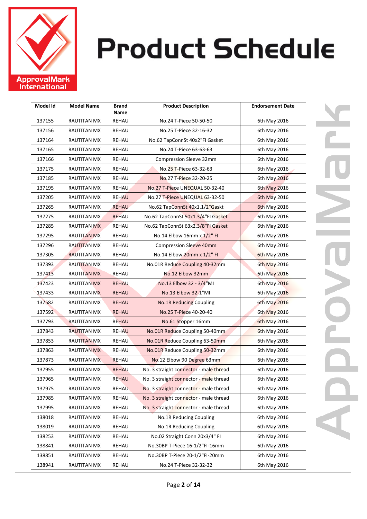

| Model Id | <b>Model Name</b>  | <b>Brand</b><br>Name | <b>Product Description</b>             | <b>Endorsement Date</b> |
|----------|--------------------|----------------------|----------------------------------------|-------------------------|
| 137155   | <b>RAUTITAN MX</b> | REHAU                | No.24 T-Piece 50-50-50                 | 6th May 2016            |
| 137156   | RAUTITAN MX        | REHAU                | No.25 T-Piece 32-16-32                 | 6th May 2016            |
| 137164   | RAUTITAN MX        | REHAU                | No.62 TapConnSt 40x2"FI Gasket         | 6th May 2016            |
| 137165   | RAUTITAN MX        | REHAU                | No.24 T-Piece 63-63-63                 | 6th May 2016            |
| 137166   | RAUTITAN MX        | REHAU                | Compression Sleeve 32mm                | 6th May 2016            |
| 137175   | <b>RAUTITAN MX</b> | REHAU                | No.25 T-Piece 63-32-63                 | 6th May 2016            |
| 137185   | RAUTITAN MX        | REHAU                | No.27 T-Piece 32-20-25                 | 6th May 2016            |
| 137195   | <b>RAUTITAN MX</b> | <b>REHAU</b>         | No.27 T-Piece UNEQUAL 50-32-40         | 6th May 2016            |
| 137205   | <b>RAUTITAN MX</b> | <b>REHAU</b>         | No.27 T-Piece UNEQUAL 63-32-50         | 6th May 2016            |
| 137265   | RAUTITAN MX        | <b>REHAU</b>         | No.62 TapConnSt 40x1.1/2"Gaskt         | <b>6th May 2016</b>     |
| 137275   | <b>RAUTITAN MX</b> | <b>REHAU</b>         | No.62 TapConnSt 50x1.3/4"FI Gasket     | 6th May 2016            |
| 137285   | <b>RAUTITAN MX</b> | REHAU                | No.62 TapConnSt 63x2.3/8"FI Gasket     | 6th May 2016            |
| 137295   | RAUTITAN MX        | REHAU                | No.14 Elbow 16mm x 1/2" FI             | 6th May 2016            |
| 137296   | <b>RAUTITAN MX</b> | REHAU                | <b>Compression Sleeve 40mm</b>         | 6th May 2016            |
| 137305   | <b>RAUTITAN MX</b> | REHAU                | No.14 Elbow 20mm x 1/2" FI             | <b>6th May 2016</b>     |
| 137393   | <b>RAUTITAN MX</b> | REHAU                | No.01R Reduce Coupling 40-32mm         | 6th May 2016            |
| 137413   | <b>RAUTITAN MX</b> | REHAU                | No.12 Elbow 32mm                       | 6th May 2016            |
| 137423   | <b>RAUTITAN MX</b> | <b>REHAU</b>         | No.13 Elbow 32 - 3/4"MI                | 6th May 2016            |
| 137433   | <b>RAUTITAN MX</b> | <b>REHAU</b>         | No.13 Elbow 32-1"MI                    | 6th May 2016            |
| 137582   | <b>RAUTITAN MX</b> | <b>REHAU</b>         | <b>No.1R Reducing Coupling</b>         | 6th May 2016            |
| 137592   | RAUTITAN MX        | REHAU                | No.25 T-Piece 40-20-40                 | 6th May 2016            |
| 137793   | <b>RAUTITAN MX</b> | <b>REHAU</b>         | No.61 Stopper 16mm                     | <b>6th May 2016</b>     |
| 137843   | <b>RAUTITAN MX</b> | <b>REHAU</b>         | No.01R Reduce Coupling 50-40mm         | 6th May 2016            |
| 137853   | <b>RAUTITAN MX</b> | REHAU                | No.01R Reduce Coupling 63-50mm         | 6th May 2016            |
| 137863   | <b>RAUTITAN MX</b> | REHAU                | No.01R Reduce Coupling 50-32mm         | 6th May 2016            |
| 137873   | <b>RAUTITAN MX</b> | <b>REHAU</b>         | No.12 Elbow 90 Degree 63mm             | 6th May 2016            |
| 137955   | <b>RAUTITAN MX</b> | <b>REHAU</b>         | No. 3 straight connector - male thread | 6th May 2016            |
| 137965   | RAUTITAN MX        | <b>REHAU</b>         | No. 3 straight connector - male thread | 6th May 2016            |
| 137975   | RAUTITAN MX        | <b>REHAU</b>         | No. 3 straight connector - male thread | 6th May 2016            |
| 137985   | <b>RAUTITAN MX</b> | REHAU                | No. 3 straight connector - male thread | 6th May 2016            |
| 137995   | <b>RAUTITAN MX</b> | REHAU                | No. 3 straight connector - male thread | 6th May 2016            |
| 138018   | <b>RAUTITAN MX</b> | REHAU                | No.1R Reducing Coupling                | 6th May 2016            |
| 138019   | <b>RAUTITAN MX</b> | REHAU                | No.1R Reducing Coupling                | 6th May 2016            |
| 138253   | RAUTITAN MX        | REHAU                | No.02 Straight Conn 20x3/4" FI         | 6th May 2016            |
| 138841   | <b>RAUTITAN MX</b> | REHAU                | No.30BP T-Piece 16-1/2"FI-16mm         | 6th May 2016            |
| 138851   | <b>RAUTITAN MX</b> | REHAU                | No.30BP T-Piece 20-1/2"FI-20mm         | 6th May 2016            |
| 138941   | RAUTITAN MX        | REHAU                | No.24 T-Piece 32-32-32                 | 6th May 2016            |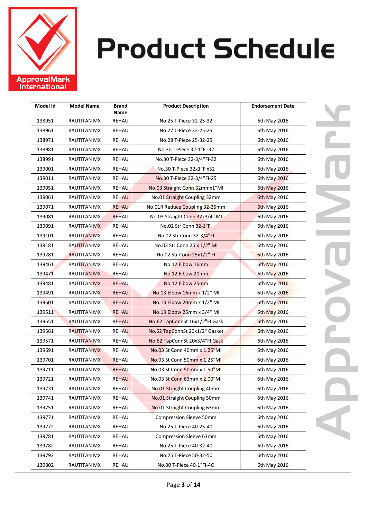

| Model Id | <b>Model Name</b>  | <b>Brand</b><br>Name | <b>Product Description</b>     | <b>Endorsement Date</b> |
|----------|--------------------|----------------------|--------------------------------|-------------------------|
| 138951   | <b>RAUTITAN MX</b> | REHAU                | No.25 T-Piece 32-25-32         | 6th May 2016            |
| 138961   | <b>RAUTITAN MX</b> | REHAU                | No.27 T-Piece 32-25-25         | 6th May 2016            |
| 138971   | RAUTITAN MX        | REHAU                | No.28 T-Piece 25-32-25         | 6th May 2016            |
| 138981   | RAUTITAN MX        | REHAU                | No.30 T-Piece 32-1"FI-32       | 6th May 2016            |
| 138991   | <b>RAUTITAN MX</b> | REHAU                | No.30 T-Piece 32-3/4"FI-32     | 6th May 2016            |
| 139001   | RAUTITAN MX        | REHAU                | No.30 T-Piece 32x1"Flx32       | 6th May 2016            |
| 139011   | RAUTITAN MX        | REHAU                | No.30 T-Piece 32-3/4"FI-25     | 6th May 2016            |
| 139051   | RAUTITAN MX        | <b>REHAU</b>         | No.03 Straight Conn 32mmx1"MI  | 6th May 2016            |
| 139061   | <b>RAUTITAN MX</b> | <b>REHAU</b>         | No.01 Straight Coupling 32mm   | 6th May 2016            |
| 139071   | RAUTITAN MX        | <b>REHAU</b>         | No.01R Reduce Coupling 32-25mm | 6th May 2016            |
| 139081   | <b>RAUTITAN MX</b> | <b>REHAU</b>         | No.03 Straight Conn 32x3/4" MI | 6th May 2016            |
| 139091   | RAUTITAN MX        | REHAU                | No.02 Str Conn 32-1"FI         | 6th May 2016            |
| 139101   | <b>RAUTITAN MX</b> | REHAU                | No.02 Str Conn 32-3/4"FI       | 6th May 2016            |
| 139181   | <b>RAUTITAN MX</b> | REHAU                | No.03 Str Conn 25 x 1/2" MI    | 6th May 2016            |
| 139281   | <b>RAUTITAN MX</b> | REHAU                | No.02 Str Conn 25x1/2" FI      | 6th May 2016            |
| 139461   | <b>RAUTITAN MX</b> | REHAU                | No.12 Elbow 16mm               | 6th May 2016            |
| 139471   | <b>RAUTITAN MX</b> | REHAU                | No.12 Elbow 20mm               | 6th May 2016            |
| 139481   | RAUTITAN MX        | <b>REHAU</b>         | No.12 Elbow 25mm               | 6th May 2016            |
| 139491   | <b>RAUTITAN MX</b> | <b>REHAU</b>         | No.13 Elbow 16mm x 1/2" MI     | 6th May 2016            |
| 139501   | <b>RAUTITAN MX</b> | <b>REHAU</b>         | No.13 Elbow 20mm x 1/2" MI     | 6th May 2016            |
| 139511   | <b>RAUTITAN MX</b> | REHAU                | No.13 Elbow 25mm x 3/4" MI     | 6th May 2016            |
| 139551   | <b>RAUTITAN MX</b> | <b>REHAU</b>         | No.62 TapConnSt 16x1/2"FI Gask | <b>6th May 2016</b>     |
| 139561   | <b>RAUTITAN MX</b> | <b>REHAU</b>         | No.62 TapConnSt 20x1/2" Gasket | 6th May 2016            |
| 139571   | <b>RAUTITAN MX</b> | REHAU                | No.62 TapConnSt 20x3/4"FI Gask | 6th May 2016            |
| 139691   | <b>RAUTITAN MX</b> | REHAU                | No.03 St Conn 40mm x 1.25"MI   | 6th May 2016            |
| 139701   | <b>RAUTITAN MX</b> | <b>REHAU</b>         | No.03 St Conn 50mm x 1.25"MI   | 6th May 2016            |
| 139711   | <b>RAUTITAN MX</b> | <b>REHAU</b>         | No.03 St Conn 50mm x 1.50"MI   | 6th May 2016            |
| 139721   | RAUTITAN MX        | <b>REHAU</b>         | No.03 St Conn 63mm x 2.00"MI   | 6th May 2016            |
| 139731   | RAUTITAN MX        | <b>REHAU</b>         | No.01 Straight Coupling 40mm   | 6th May 2016            |
| 139741   | <b>RAUTITAN MX</b> | REHAU                | No.01 Straight Coupling 50mm   | 6th May 2016            |
| 139751   | <b>RAUTITAN MX</b> | REHAU                | No.01 Straight Coupling 63mm   | 6th May 2016            |
| 139771   | <b>RAUTITAN MX</b> | REHAU                | Compression Sleeve 50mm        | 6th May 2016            |
| 139772   | <b>RAUTITAN MX</b> | REHAU                | No.25 T-Piece 40-25-40         | 6th May 2016            |
| 139781   | <b>RAUTITAN MX</b> | REHAU                | Compression Sleeve 63mm        | 6th May 2016            |
| 139782   | RAUTITAN MX        | REHAU                | No.25 T-Piece 40-32-40         | 6th May 2016            |
| 139792   | <b>RAUTITAN MX</b> | REHAU                | No.25 T-Piece 50-32-50         | 6th May 2016            |
| 139802   | <b>RAUTITAN MX</b> | REHAU                | No.30 T-Piece 40-1"FI-40       | 6th May 2016            |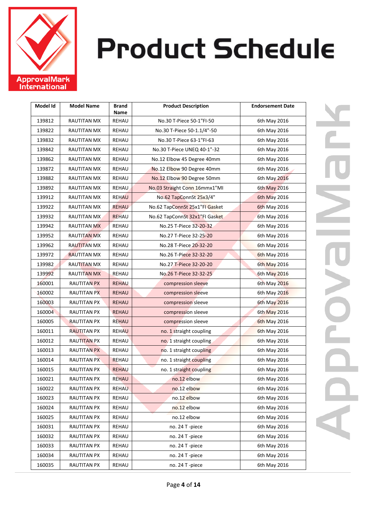

| Model Id | <b>Model Name</b>  | Brand<br>Name | <b>Product Description</b>     | <b>Endorsement Date</b> |
|----------|--------------------|---------------|--------------------------------|-------------------------|
| 139812   | RAUTITAN MX        | REHAU         | No.30 T-Piece 50-1"FI-50       | 6th May 2016            |
| 139822   | RAUTITAN MX        | REHAU         | No.30 T-Piece 50-1.1/4"-50     | 6th May 2016            |
| 139832   | <b>RAUTITAN MX</b> | REHAU         | No.30 T-Piece 63-1"FI-63       | 6th May 2016            |
| 139842   | RAUTITAN MX        | REHAU         | No.30 T-Piece UNEQ 40-1"-32    | 6th May 2016            |
| 139862   | RAUTITAN MX        | REHAU         | No.12 Elbow 45 Degree 40mm     | 6th May 2016            |
| 139872   | RAUTITAN MX        | REHAU         | No.12 Elbow 90 Degree 40mm     | 6th May 2016            |
| 139882   | RAUTITAN MX        | <b>REHAU</b>  | No.12 Elbow 90 Degree 50mm     | 6th May 2016            |
| 139892   | RAUTITAN MX        | <b>REHAU</b>  | No.03 Straight Conn 16mmx1"MI  | 6th May 2016            |
| 139912   | RAUTITAN MX        | <b>REHAU</b>  | No.62 TapConnSt 25x3/4"        | 6th May 2016            |
| 139922   | RAUTITAN MX        | <b>REHAU</b>  | No.62 TapConnSt 25x1"FI Gasket | <b>6th May 2016</b>     |
| 139932   | RAUTITAN MX        | <b>REHAU</b>  | No.62 TapConnSt 32x1"FI Gasket | 6th May 2016            |
| 139942   | <b>RAUTITAN MX</b> | <b>REHAU</b>  | No.25 T-Piece 32-20-32         | 6th May 2016            |
| 139952   | <b>RAUTITAN MX</b> | REHAU         | No.27 T-Piece 32-25-20         | 6th May 2016            |
| 139962   | <b>RAUTITAN MX</b> | REHAU         | No.28 T-Piece 20-32-20         | 6th May 2016            |
| 139972   | <b>RAUTITAN MX</b> | REHAU         | No.26 T-Piece 32-32-20         | 6th May 2016            |
| 139982   | <b>RAUTITAN MX</b> | REHAU         | No.27 T-Piece 32-20-20         | 6th May 2016            |
| 139992   | RAUTITAN MX        | REHAU         | No.26 T-Piece 32-32-25         | 6th May 2016            |
| 160001   | <b>RAUTITAN PX</b> | <b>REHAU</b>  | compression sleeve             | 6th May 2016            |
| 160002   | <b>RAUTITAN PX</b> | <b>REHAU</b>  | compression sleeve             | 6th May 2016            |
| 160003   | RAUTITAN PX        | <b>REHAU</b>  | compression sleeve             | 6th May 2016            |
| 160004   | <b>RAUTITAN PX</b> | <b>REHAU</b>  | compression sleeve             | 6th May 2016            |
| 160005   | <b>RAUTITAN PX</b> | <b>REHAU</b>  | compression sleeve             | <b>6th May 2016</b>     |
| 160011   | <b>RAUTITAN PX</b> | <b>REHAU</b>  | no. 1 straight coupling        | 6th May 2016            |
| 160012   | RAUTITAN PX        | REHAU         | no. 1 straight coupling        | 6th May 2016            |
| 160013   | RAUTITAN PX        | REHAU         | no. 1 straight coupling        | 6th May 2016            |
| 160014   | RAUTITAN PX        | <b>REHAU</b>  | no. 1 straight coupling        | 6th May 2016            |
| 160015   | <b>RAUTITAN PX</b> | <b>REHAU</b>  | no. 1 straight coupling        | 6th May 2016            |
| 160021   | <b>RAUTITAN PX</b> | REHAU         | no.12 elbow                    | 6th May 2016            |
| 160022   | RAUTITAN PX        | <b>REHAU</b>  | no.12 elbow                    | 6th May 2016            |
| 160023   | <b>RAUTITAN PX</b> | REHAU         | no.12 elbow                    | 6th May 2016            |
| 160024   | RAUTITAN PX        | REHAU         | no.12 elbow                    | 6th May 2016            |
| 160025   | <b>RAUTITAN PX</b> | REHAU         | no.12 elbow                    | 6th May 2016            |
| 160031   | <b>RAUTITAN PX</b> | REHAU         | no. 24 T -piece                | 6th May 2016            |
| 160032   | <b>RAUTITAN PX</b> | REHAU         | no. 24 T -piece                | 6th May 2016            |
| 160033   | RAUTITAN PX        | REHAU         | no. 24 T -piece                | 6th May 2016            |
| 160034   | <b>RAUTITAN PX</b> | REHAU         | no. 24 T -piece                | 6th May 2016            |
| 160035   | <b>RAUTITAN PX</b> | REHAU         | no. 24 T -piece                | 6th May 2016            |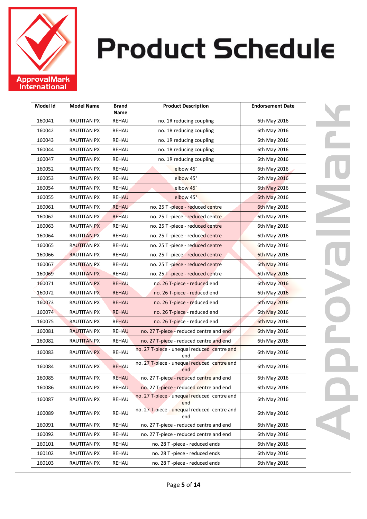

| Model Id | <b>Model Name</b>  | Brand<br>Name | <b>Product Description</b>                         | <b>Endorsement Date</b> |
|----------|--------------------|---------------|----------------------------------------------------|-------------------------|
| 160041   | <b>RAUTITAN PX</b> | REHAU         | no. 1R reducing coupling                           | 6th May 2016            |
| 160042   | RAUTITAN PX        | REHAU         | no. 1R reducing coupling                           | 6th May 2016            |
| 160043   | RAUTITAN PX        | REHAU         | no. 1R reducing coupling                           | 6th May 2016            |
| 160044   | RAUTITAN PX        | REHAU         | no. 1R reducing coupling                           | 6th May 2016            |
| 160047   | RAUTITAN PX        | REHAU         | no. 1R reducing coupling                           | 6th May 2016            |
| 160052   | RAUTITAN PX        | REHAU         | elbow 45°                                          | 6th May 2016            |
| 160053   | <b>RAUTITAN PX</b> | REHAU         | elbow 45°                                          | 6th May 2016            |
| 160054   | <b>RAUTITAN PX</b> | <b>REHAU</b>  | elbow 45°                                          | 6th May 2016            |
| 160055   | RAUTITAN PX        | <b>REHAU</b>  | elbow 45°                                          | 6th May 2016            |
| 160061   | RAUTITAN PX        | <b>REHAU</b>  | no. 25 T -piece - reduced centre                   | 6th May 2016            |
| 160062   | RAUTITAN PX        | <b>REHAU</b>  | no. 25 T -piece - reduced centre                   | 6th May 2016            |
| 160063   | <b>RAUTITAN PX</b> | REHAU         | no. 25 T -piece - reduced centre                   | 6th May 2016            |
| 160064   | <b>RAUTITAN PX</b> | REHAU         | no. 25 T -piece - reduced centre                   | 6th May 2016            |
| 160065   | <b>RAUTITAN PX</b> | REHAU         | no. 25 T -piece - reduced centre                   | 6th May 2016            |
| 160066   | <b>RAUTITAN PX</b> | REHAU         | no. 25 T -piece - reduced centre                   | <b>6th May 2016</b>     |
| 160067   | <b>RAUTITAN PX</b> | REHAU         | no. 25 T -piece - reduced centre                   | 6th May 2016            |
| 160069   | <b>RAUTITAN PX</b> | REHAU         | no. 25 T-piece - reduced centre                    | 6th May 2016            |
| 160071   | RAUTITAN PX        | <b>REHAU</b>  | no. 26 T-piece - reduced end                       | 6th May 2016            |
| 160072   | <b>RAUTITAN PX</b> | <b>REHAU</b>  | no. 26 T-piece - reduced end                       | 6th May 2016            |
| 160073   | <b>RAUTITAN PX</b> | <b>REHAU</b>  | no. 26 T-piece - reduced end                       | 6th May 2016            |
| 160074   | <b>RAUTITAN PX</b> | <b>REHAU</b>  | no. 26 T-piece - reduced end                       | 6th May 2016            |
| 160075   | <b>RAUTITAN PX</b> | <b>REHAU</b>  | no. 26 T-piece - reduced end                       | <b>6th May 2016</b>     |
| 160081   | <b>RAUTITAN PX</b> | <b>REHAU</b>  | no. 27 T-piece - reduced centre and end            | 6th May 2016            |
| 160082   | <b>RAUTITAN PX</b> | REHAU         | no. 27 T-piece - reduced centre and end            | 6th May 2016            |
| 160083   | <b>RAUTITAN PX</b> | <b>REHAU</b>  | no. 27 T-piece - unequal reduced centre and<br>end | 6th May 2016            |
| 160084   | <b>RAUTITAN PX</b> | <b>REHAU</b>  | no. 27 T-piece - unequal reduced centre and<br>end | 6th May 2016            |
| 160085   | RAUTITAN PX        | REHAU         | no. 27 T-piece - reduced centre and end            | 6th May 2016            |
| 160086   | <b>RAUTITAN PX</b> | <b>REHAU</b>  | no. 27 T-piece - reduced centre and end            | 6th May 2016            |
| 160087   | <b>RAUTITAN PX</b> | REHAU         | no. 27 T-piece - unequal reduced centre and<br>end | 6th May 2016            |
| 160089   | RAUTITAN PX        | REHAU         | no. 27 T-piece - unequal reduced centre and<br>end | 6th May 2016            |
| 160091   | <b>RAUTITAN PX</b> | REHAU         | no. 27 T-piece - reduced centre and end            | 6th May 2016            |
| 160092   | <b>RAUTITAN PX</b> | REHAU         | no. 27 T-piece - reduced centre and end            | 6th May 2016            |
| 160101   | <b>RAUTITAN PX</b> | REHAU         | no. 28 T -piece - reduced ends                     | 6th May 2016            |
| 160102   | RAUTITAN PX        | REHAU         | no. 28 T -piece - reduced ends                     | 6th May 2016            |
| 160103   | <b>RAUTITAN PX</b> | REHAU         | no. 28 T -piece - reduced ends                     | 6th May 2016            |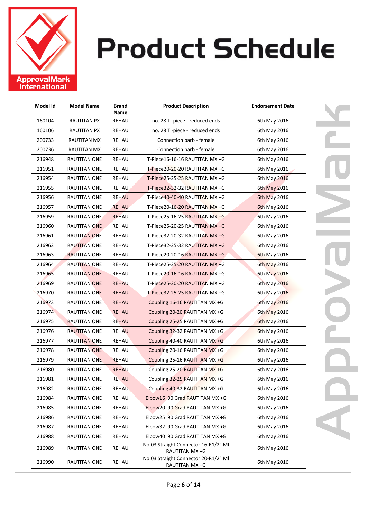

| Model Id | <b>Model Name</b>   | Brand<br>Name | <b>Product Description</b>                             | <b>Endorsement Date</b> |
|----------|---------------------|---------------|--------------------------------------------------------|-------------------------|
| 160104   | <b>RAUTITAN PX</b>  | <b>REHAU</b>  | no. 28 T -piece - reduced ends                         | 6th May 2016            |
| 160106   | <b>RAUTITAN PX</b>  | REHAU         | no. 28 T -piece - reduced ends                         | 6th May 2016            |
| 200733   | <b>RAUTITAN MX</b>  | REHAU         | Connection barb - female                               | 6th May 2016            |
| 200736   | <b>RAUTITAN MX</b>  | REHAU         | Connection barb - female                               | 6th May 2016            |
| 216948   | RAUTITAN ONE        | REHAU         | T-Piece16-16-16 RAUTITAN MX +G                         | 6th May 2016            |
| 216951   | RAUTITAN ONE        | REHAU         | T-Piece20-20-20 RAUTITAN MX +G                         | 6th May 2016            |
| 216954   | RAUTITAN ONE        | <b>REHAU</b>  | T-Piece25-25-25 RAUTITAN MX +G                         | 6th May 2016            |
| 216955   | RAUTITAN ONE        | <b>REHAU</b>  | T-Piece32-32-32 RAUTITAN MX +G                         | 6th May 2016            |
| 216956   | RAUTITAN ONE        | <b>REHAU</b>  | T-Piece40-40-40 RAUTITAN MX +G                         | 6th May 2016            |
| 216957   | RAUTITAN ONE        | <b>REHAU</b>  | T-Piece20-16-20 RAUTITAN MX +G                         | 6th May 2016            |
| 216959   | RAUTITAN ONE        | <b>REHAU</b>  | T-Piece25-16-25 RAUTITAN MX +G                         | 6th May 2016            |
| 216960   | <b>RAUTITAN ONE</b> | REHAU         | T-Piece25-20-25 RAUTITAN MX +G                         | 6th May 2016            |
| 216961   | <b>RAUTITAN ONE</b> | REHAU         | T-Piece32-20-32 RAUTITAN MX +G                         | 6th May 2016            |
| 216962   | <b>RAUTITAN ONE</b> | REHAU         | T-Piece32-25-32 RAUTITAN MX +G                         | 6th May 2016            |
| 216963   | <b>RAUTITAN ONE</b> | REHAU         | T-Piece20-20-16 RAUTITAN MX +G                         | <b>6th May 2016</b>     |
| 216964   | <b>RAUTITAN ONE</b> | REHAU         | T-Piece25-25-20 RAUTITAN MX +G                         | 6th May 2016            |
| 216965   | <b>RAUTITAN ONE</b> | <b>REHAU</b>  | T-Piece20-16-16 RAUTITAN MX +G                         | 6th May 2016            |
| 216969   | <b>RAUTITAN ONE</b> | <b>REHAU</b>  | T-Piece25-20-20 RAUTITAN MX +G                         | 6th May 2016            |
| 216970   | <b>RAUTITAN ONE</b> | <b>REHAU</b>  | T-Piece32-25-25 RAUTITAN MX +G                         | 6th May 2016            |
| 216973   | RAUTITAN ONE        | <b>REHAU</b>  | Coupling 16-16 RAUTITAN MX +G                          | 6th May 2016            |
| 216974   | <b>RAUTITAN ONE</b> | <b>REHAU</b>  | Coupling 20-20 RAUTITAN MX +G                          | 6th May 2016            |
| 216975   | <b>RAUTITAN ONE</b> | <b>REHAU</b>  | Coupling 25-25 RAUTITAN MX +G                          | <b>6th May 2016</b>     |
| 216976   | RAUTITAN ONE        | <b>REHAU</b>  | Coupling 32-32 RAUTITAN MX +G                          | 6th May 2016            |
| 216977   | <b>RAUTITAN ONE</b> | REHAU         | Coupling 40-40 RAUTITAN MX +G                          | 6th May 2016            |
| 216978   | <b>RAUTITAN ONE</b> | REHAU         | Coupling 20-16 RAUTITAN MX +G                          | 6th May 2016            |
| 216979   | RAUTITAN ONE        | <b>REHAU</b>  | Coupling 25-16 RAUTITAN MX +G                          | 6th May 2016            |
| 216980   | RAUTITAN ONE        | <b>REHAU</b>  | Coupling 25-20 RAUTITAN MX +G                          | 6th May 2016            |
| 216981   | RAUTITAN ONE        | REHAU         | Coupling 32-25 RAUTITAN MX +G                          | 6th May 2016            |
| 216982   | RAUTITAN ONE        | <b>REHAU</b>  | Coupling 40-32 RAUTITAN MX +G                          | 6th May 2016            |
| 216984   | RAUTITAN ONE        | REHAU         | Elbow16 90 Grad RAUTITAN MX +G                         | 6th May 2016            |
| 216985   | RAUTITAN ONE        | REHAU         | Elbow20 90 Grad RAUTITAN MX +G                         | 6th May 2016            |
| 216986   | RAUTITAN ONE        | REHAU         | Elbow25 90 Grad RAUTITAN MX +G                         | 6th May 2016            |
| 216987   | RAUTITAN ONE        | REHAU         | Elbow32 90 Grad RAUTITAN MX +G                         | 6th May 2016            |
| 216988   | <b>RAUTITAN ONE</b> | REHAU         | Elbow40 90 Grad RAUTITAN MX +G                         | 6th May 2016            |
| 216989   | RAUTITAN ONE        | REHAU         | No.03 Straight Connector 16-R1/2" MI<br>RAUTITAN MX +G | 6th May 2016            |
| 216990   | <b>RAUTITAN ONE</b> | REHAU         | No.03 Straight Connector 20-R1/2" MI<br>RAUTITAN MX +G | 6th May 2016            |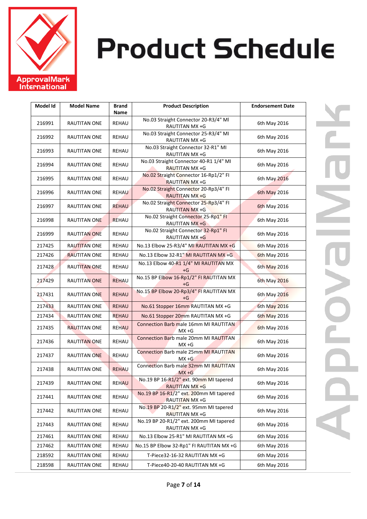

| Model Id | <b>Model Name</b>   | <b>Brand</b><br>Name | <b>Product Description</b>                                       | <b>Endorsement Date</b> |
|----------|---------------------|----------------------|------------------------------------------------------------------|-------------------------|
| 216991   | RAUTITAN ONE        | REHAU                | No.03 Straight Connector 20-R3/4" MI<br>RAUTITAN MX +G           | 6th May 2016            |
| 216992   | RAUTITAN ONE        | REHAU                | No.03 Straight Connector 25-R3/4" MI<br>RAUTITAN MX +G           | 6th May 2016            |
| 216993   | RAUTITAN ONE        | REHAU                | No.03 Straight Connector 32-R1" MI<br>RAUTITAN MX +G             | 6th May 2016            |
| 216994   | <b>RAUTITAN ONE</b> | REHAU                | No.03 Straight Connector 40-R1 1/4" MI<br><b>RAUTITAN MX +G</b>  | 6th May 2016            |
| 216995   | RAUTITAN ONE        | REHAU                | No.02 Straight Connector 16-Rp1/2" FI<br><b>RAUTITAN MX +G</b>   | 6th May 2016            |
| 216996   | RAUTITAN ONE        | <b>REHAU</b>         | No.02 Straight Connector 20-Rp3/4" FI<br><b>RAUTITAN MX +G</b>   | <b>6th May 2016</b>     |
| 216997   | <b>RAUTITAN ONE</b> | <b>REHAU</b>         | No.02 Straight Connector 25-Rp3/4" FI<br>RAUTITAN MX +G          | <b>6th May 2016</b>     |
| 216998   | RAUTITAN ONE        | <b>REHAU</b>         | No.02 Straight Connector 25-Rp1" FI<br><b>RAUTITAN MX +G</b>     | 6th May 2016            |
| 216999   | <b>RAUTITAN ONE</b> | REHAU                | No.02 Straight Connector 32-Rp1" FI<br>RAUTITAN MX +G            | 6th May 2016            |
| 217425   | <b>RAUTITAN ONE</b> | REHAU                | No.13 Elbow 25-R3/4" MI RAUTITAN MX +G                           | 6th May 2016            |
| 217426   | <b>RAUTITAN ONE</b> | REHAU                | No.13 Elbow 32-R1" MI RAUTITAN MX +G                             | <b>6th May 2016</b>     |
| 217428   | <b>RAUTITAN ONE</b> | REHAU                | No.13 Elbow 40-R1 1/4" MI RAUTITAN MX<br>+G                      | 6th May 2016            |
| 217429   | <b>RAUTITAN ONE</b> | <b>REHAU</b>         | No.15 BP Elbow 16-Rp1/2" FI RAUTITAN MX<br>+G                    | <b>6th May 2016</b>     |
| 217431   | RAUTITAN ONE        | <b>REHAU</b>         | No.15 BP Elbow 20-Rp3/4" FI RAUTITAN MX<br>+G                    | 6th May 2016            |
| 217433   | <b>RAUTITAN ONE</b> | <b>REHAU</b>         | No.61 Stopper 16mm RAUTITAN MX +G                                | 6th May 2016            |
| 217434   | <b>RAUTITAN ONE</b> | <b>REHAU</b>         | No.61 Stopper 20mm RAUTITAN MX +G                                | <b>6th May 2016</b>     |
| 217435   | RAUTITAN ONE        | <b>REHAU</b>         | <b>Connection Barb male 16mm MI RAUTITAN</b><br>$MX + G$         | <b>6th May 2016</b>     |
| 217436   | RAUTITAN ONE        | REHAU                | Connection Barb male 20mm MI RAUTITAN<br>$MX + G$                | 6th May 2016            |
| 217437   | <b>RAUTITAN ONE</b> | <b>REHAU</b>         | <b>Connection Barb male 25mm MI RAUTITAN</b><br>$MX + G$         | 6th May 2016            |
| 217438   | <b>RAUTITAN ONE</b> | <b>REHAU</b>         | Connection Barb male 32mm MI RAUTITAN<br>$MX + G$                | 6th May 2016            |
| 217439   | RAUTITAN ONE        | <b>REHAU</b>         | No.19 BP 16-R1/2" ext. 90mm MI tapered<br>RAUTITAN MX +G         | 6th May 2016            |
| 217441   | RAUTITAN ONE        | REHAU                | No.19 BP 16-R1/2" ext. 200mm MI tapered<br><b>RAUTITAN MX +G</b> | 6th May 2016            |
| 217442   | RAUTITAN ONE        | REHAU                | No.19 BP 20-R1/2" ext. 95mm MI tapered<br>RAUTITAN MX +G         | 6th May 2016            |
| 217443   | RAUTITAN ONE        | REHAU                | No.19 BP 20-R1/2" ext. 200mm MI tapered<br>RAUTITAN MX +G        | 6th May 2016            |
| 217461   | <b>RAUTITAN ONE</b> | REHAU                | No.13 Elbow 25-R1" MI RAUTITAN MX +G                             | 6th May 2016            |
| 217462   | RAUTITAN ONE        | REHAU                | No.15 BP Elbow 32-Rp1" FI RAUTITAN MX +G                         | 6th May 2016            |
| 218592   | RAUTITAN ONE        | REHAU                | T-Piece32-16-32 RAUTITAN MX +G                                   | 6th May 2016            |
| 218598   | RAUTITAN ONE        | REHAU                | T-Piece40-20-40 RAUTITAN MX +G                                   | 6th May 2016            |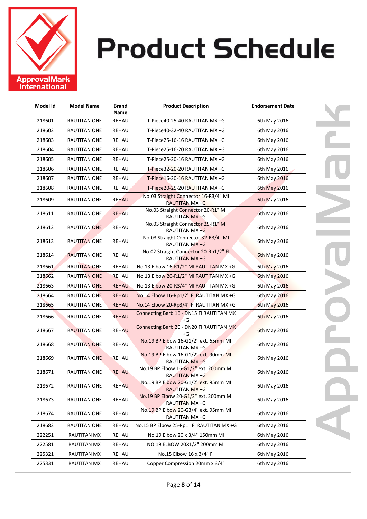

| Model Id | <b>Model Name</b>   | <b>Brand</b><br>Name | <b>Product Description</b>                                     | <b>Endorsement Date</b> |
|----------|---------------------|----------------------|----------------------------------------------------------------|-------------------------|
| 218601   | RAUTITAN ONE        | REHAU                | T-Piece40-25-40 RAUTITAN MX +G                                 | 6th May 2016            |
| 218602   | <b>RAUTITAN ONE</b> | REHAU                | T-Piece40-32-40 RAUTITAN MX +G                                 | 6th May 2016            |
| 218603   | RAUTITAN ONE        | REHAU                | T-Piece25-16-16 RAUTITAN MX +G                                 | 6th May 2016            |
| 218604   | <b>RAUTITAN ONE</b> | <b>REHAU</b>         | T-Piece25-16-20 RAUTITAN MX +G                                 | 6th May 2016            |
| 218605   | <b>RAUTITAN ONE</b> | REHAU                | T-Piece25-20-16 RAUTITAN MX +G                                 | 6th May 2016            |
| 218606   | <b>RAUTITAN ONE</b> | REHAU                | T-Piece32-20-20 RAUTITAN MX +G                                 | 6th May 2016            |
| 218607   | RAUTITAN ONE        | <b>REHAU</b>         | T-Piece16-20-16 RAUTITAN MX +G                                 | 6th May 2016            |
| 218608   | RAUTITAN ONE        | <b>REHAU</b>         | T-Piece20-25-20 RAUTITAN MX +G                                 | 6th May 2016            |
| 218609   | RAUTITAN ONE        | <b>REHAU</b>         | No.03 Straight Connector 16-R3/4" MI<br><b>RAUTITAN MX +G</b>  | 6th May 2016            |
| 218611   | RAUTITAN ONE        | <b>REHAU</b>         | No.03 Straight Connector 20-R1" MI<br>RAUTITAN MX +G           | 6th May 2016            |
| 218612   | <b>RAUTITAN ONE</b> | REHAU                | No.03 Straight Connector 25-R1" MI<br>RAUTITAN MX +G           | 6th May 2016            |
| 218613   | <b>RAUTITAN ONE</b> | REHAU                | No.03 Straight Connector 32-R3/4" MI<br>RAUTITAN MX +G         | 6th May 2016            |
| 218614   | <b>RAUTITAN ONE</b> | REHAU                | No.02 Straight Connector 20-Rp1/2" FI<br>RAUTITAN MX +G        | <b>6th May 2016</b>     |
| 218661   | <b>RAUTITAN ONE</b> | <b>REHAU</b>         | No.13 Elbow 16-R1/2" MI RAUTITAN MX +G                         | 6th May 2016            |
| 218662   | <b>RAUTITAN ONE</b> | <b>REHAU</b>         | No.13 Elbow 20-R1/2" MI RAUTITAN MX +G                         | <b>6th May 2016</b>     |
| 218663   | <b>RAUTITAN ONE</b> | <b>REHAU</b>         | No.13 Elbow 20-R3/4" MI RAUTITAN MX +G                         | 6th May 2016            |
| 218664   | <b>RAUTITAN ONE</b> | <b>REHAU</b>         | No.14 Elbow 16-Rp1/2" FI RAUTITAN MX +G                        | 6th May 2016            |
| 218665   | <b>RAUTITAN ONE</b> | <b>REHAU</b>         | No.14 Elbow 20-Rp3/4" FI RAUTITAN MX +G                        | 6th May 2016            |
| 218666   | RAUTITAN ONE        | <b>REHAU</b>         | Connecting Barb 16 - DN15 FI RAUTITAN MX<br>+G                 | <b>6th May 2016</b>     |
| 218667   | <b>RAUTITAN ONE</b> | <b>REHAU</b>         | Connecting Barb 20 - DN20 Fl RAUTITAN MX<br>+G                 | 6th May 2016            |
| 218668   | <b>RAUTITAN ONE</b> | REHAU                | No.19 BP Elbow 16-G1/2" ext. 65mm MI<br>RAUTITAN MX +G         | 6th May 2016            |
| 218669   | <b>RAUTITAN ONE</b> | REHAU                | No.19 BP Elbow 16-G1/2" ext. 90mm MI<br>RAUTITAN MX +G         | 6th May 2016            |
| 218671   | RAUTITAN ONE        | <b>REHAU</b>         | No.19 BP Elbow 16-G1/2" ext. 200mm MI<br><b>RAUTITAN MX +G</b> | 6th May 2016            |
| 218672   | RAUTITAN ONE        | <b>REHAU</b>         | No.19 BP Elbow 20-G1/2" ext. 95mm MI<br><b>RAUTITAN MX +G</b>  | 6th May 2016            |
| 218673   | RAUTITAN ONE        | REHAU                | No.19 BP Elbow 20-G1/2" ext. 200mm MI<br>RAUTITAN MX +G        | 6th May 2016            |
| 218674   | RAUTITAN ONE        | REHAU                | No.19 BP Elbow 20-G3/4" ext. 95mm MI<br>RAUTITAN MX +G         | 6th May 2016            |
| 218682   | RAUTITAN ONE        | REHAU                | No.15 BP Elbow 25-Rp1" FI RAUTITAN MX +G                       | 6th May 2016            |
| 222251   | RAUTITAN MX         | REHAU                | No.19 Elbow 20 x 3/4" 150mm MI                                 | 6th May 2016            |
| 222581   | RAUTITAN MX         | <b>REHAU</b>         | NO.19 ELBOW 20X1/2" 200mm MI                                   | 6th May 2016            |
| 225321   | RAUTITAN MX         | REHAU                | No.15 Elbow 16 x 3/4" FI                                       | 6th May 2016            |
| 225331   | RAUTITAN MX         | REHAU                | Copper Compression 20mm x 3/4"                                 | 6th May 2016            |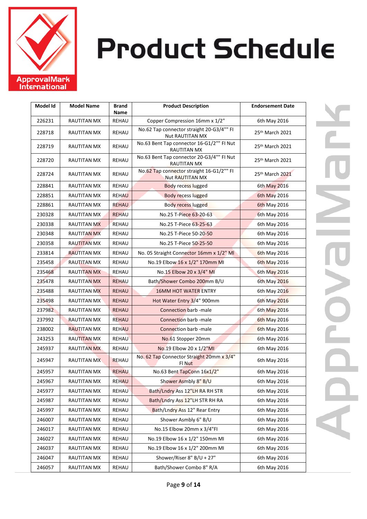

| Model Id | <b>Model Name</b>  | <b>Brand</b><br>Name | <b>Product Description</b>                                      | <b>Endorsement Date</b> |
|----------|--------------------|----------------------|-----------------------------------------------------------------|-------------------------|
| 226231   | RAUTITAN MX        | REHAU                | Copper Compression 16mm x 1/2"                                  | 6th May 2016            |
| 228718   | RAUTITAN MX        | REHAU                | No.62 Tap connector straight 20-G3/4"" FI<br>Nut RAUTITAN MX    | 25th March 2021         |
| 228719   | RAUTITAN MX        | <b>REHAU</b>         | No.63 Bent Tap connector 16-G1/2"" FI Nut<br><b>RAUTITAN MX</b> | 25th March 2021         |
| 228720   | RAUTITAN MX        | REHAU                | No.63 Bent Tap connector 20-G3/4"" FI Nut<br><b>RAUTITAN MX</b> | 25th March 2021         |
| 228724   | RAUTITAN MX        | REHAU                | No.62 Tap connector straight 16-G1/2"" FI<br>Nut RAUTITAN MX    | 25th March 2021         |
| 228841   | <b>RAUTITAN MX</b> | REHAU                | <b>Body recess lugged</b>                                       | 6th May 2016            |
| 228851   | RAUTITAN MX        | <b>REHAU</b>         | <b>Body recess lugged</b>                                       | 6th May 2016            |
| 228861   | RAUTITAN MX        | <b>REHAU</b>         | Body recess lugged                                              | <b>6th May 2016</b>     |
| 230328   | RAUTITAN MX        | <b>REHAU</b>         | No.25 T-Piece 63-20-63                                          | 6th May 2016            |
| 230338   | RAUTITAN MX        | REHAU                | No.25 T-Piece 63-25-63                                          | 6th May 2016            |
| 230348   | RAUTITAN MX        | REHAU                | No.25 T-Piece 50-20-50                                          | 6th May 2016            |
| 230358   | <b>RAUTITAN MX</b> | REHAU                | No.25 T-Piece 50-25-50                                          | 6th May 2016            |
| 233814   | <b>RAUTITAN MX</b> | REHAU                | No. 05 Straight Connector 16mm x 1/2" MI                        | 6th May 2016            |
| 235458   | RAUTITAN MX        | REHAU                | No.19 Elbow 16 x 1/2" 170mm MI                                  | 6th May 2016            |
| 235468   | <b>RAUTITAN MX</b> | REHAU                | No.15 Elbow 20 x 3/4" MI                                        | 6th May 2016            |
| 235478   | <b>RAUTITAN MX</b> | <b>REHAU</b>         | Bath/Shower Combo 200mm B/U                                     | 6th May 2016            |
| 235488   | RAUTITAN MX        | <b>REHAU</b>         | <b>16MM HOT WATER ENTRY</b>                                     | 6th May 2016            |
| 235498   | RAUTITAN MX        | <b>REHAU</b>         | Hot Water Entry 3/4" 900mm                                      | 6th May 2016            |
| 237982   | RAUTITAN MX        | <b>REHAU</b>         | <b>Connection barb -male</b>                                    | 6th May 2016            |
| 237992   | <b>RAUTITAN MX</b> | <b>REHAU</b>         | Connection barb -male                                           | <b>6th May 2016</b>     |
| 238002   | <b>RAUTITAN MX</b> | <b>REHAU</b>         | Connection barb -male                                           | <b>6th May 2016</b>     |
| 243253   | <b>RAUTITAN MX</b> | <b>REHAU</b>         | No.61 Stopper 20mm                                              | 6th May 2016            |
| 245937   | <b>RAUTITAN MX</b> | REHAU                | No.19 Elbow 20 x 1/2"MI                                         | 6th May 2016            |
| 245947   | <b>RAUTITAN MX</b> | <b>REHAU</b>         | No. 62 Tap Connector Straight 20mm x 3/4"<br>Fl Nut             | 6th May 2016            |
| 245957   | <b>RAUTITAN MX</b> | <b>REHAU</b>         | No.63 Bent TapConn 16x1/2"                                      | 6th May 2016            |
| 245967   | RAUTITAN MX        | <b>REHAU</b>         | Shower Asmbly 8" B/U                                            | 6th May 2016            |
| 245977   | <b>RAUTITAN MX</b> | <b>REHAU</b>         | Bath/Lndry Ass 12"LH RA RH STR                                  | 6th May 2016            |
| 245987   | <b>RAUTITAN MX</b> | REHAU                | Bath/Lndry Ass 12"LH STR RH RA                                  | 6th May 2016            |
| 245997   | RAUTITAN MX        | REHAU                | Bath/Lndry Ass 12" Rear Entry                                   | 6th May 2016            |
| 246007   | RAUTITAN MX        | REHAU                | Shower Asmbly 6" B/U                                            | 6th May 2016            |
| 246017   | RAUTITAN MX        | REHAU                | No.15 Elbow 20mm x 3/4"FI                                       | 6th May 2016            |
| 246027   | RAUTITAN MX        | REHAU                | No.19 Elbow 16 x 1/2" 150mm MI                                  | 6th May 2016            |
| 246037   | RAUTITAN MX        | REHAU                | No.19 Elbow 16 x 1/2" 200mm MI                                  | 6th May 2016            |
| 246047   | <b>RAUTITAN MX</b> | REHAU                | Shower/Riser 8" B/U + 27"                                       | 6th May 2016            |
| 246057   | RAUTITAN MX        | REHAU                | Bath/Shower Combo 8" R/A                                        | 6th May 2016            |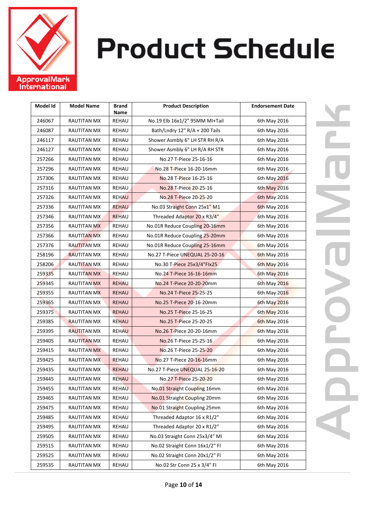

| Model Id | <b>Model Name</b>  | <b>Brand</b><br>Name | <b>Product Description</b>     | <b>Endorsement Date</b> |
|----------|--------------------|----------------------|--------------------------------|-------------------------|
| 246067   | RAUTITAN MX        | <b>REHAU</b>         | No.19 Elb 16x1/2" 95MM MI+Tail | 6th May 2016            |
| 246087   | RAUTITAN MX        | REHAU                | Bath/Lndry 12" R/A + 200 Tails | 6th May 2016            |
| 246117   | RAUTITAN MX        | REHAU                | Shower Asmbly 6" LH STR RH R/A | 6th May 2016            |
| 246127   | RAUTITAN MX        | REHAU                | Shower Asmbly 6" LH R/A RH STR | 6th May 2016            |
| 257266   | RAUTITAN MX        | REHAU                | No.27 T-Piece 25-16-16         | 6th May 2016            |
| 257296   | RAUTITAN MX        | REHAU                | No.28 T-Piece 16-20-16mm       | 6th May 2016            |
| 257306   | RAUTITAN MX        | REHAU                | No.28 T-Piece 16-25-16         | 6th May 2016            |
| 257316   | RAUTITAN MX        | <b>REHAU</b>         | No.28 T-Piece 20-25-16         | 6th May 2016            |
| 257326   | RAUTITAN MX        | <b>REHAU</b>         | No.28 T-Piece 20-25-20         | 6th May 2016            |
| 257336   | RAUTITAN MX        | <b>REHAU</b>         | No.03 Straight Conn 25x1" M1   | <b>6th May 2016</b>     |
| 257346   | RAUTITAN MX        | <b>REHAU</b>         | Threaded Adaptor 20 x R3/4"    | 6th May 2016            |
| 257356   | RAUTITAN MX        | REHAU                | No.01R Reduce Coupling 20-16mm | 6th May 2016            |
| 257366   | <b>RAUTITAN MX</b> | REHAU                | No.01R Reduce Coupling 25-20mm | 6th May 2016            |
| 257376   | <b>RAUTITAN MX</b> | REHAU                | No.01R Reduce Coupling 25-16mm | 6th May 2016            |
| 258196   | <b>RAUTITAN MX</b> | REHAU                | No.27 T-Piece UNEQUAL 25-20-16 | <b>6th May 2016</b>     |
| 258206   | <b>RAUTITAN MX</b> | <b>REHAU</b>         | No.30 T-Piece 25x3/4"Flx25     | 6th May 2016            |
| 259335   | <b>RAUTITAN MX</b> | <b>REHAU</b>         | No.24 T-Piece 16-16-16mm       | 6th May 2016            |
| 259345   | RAUTITAN MX        | <b>REHAU</b>         | No.24 T-Piece 20-20-20mm       | 6th May 2016            |
| 259355   | <b>RAUTITAN MX</b> | <b>REHAU</b>         | No.24 T-Piece 25-25-25         | 6th May 2016            |
| 259365   | <b>RAUTITAN MX</b> | <b>REHAU</b>         | No.25 T-Piece 20-16-20mm       | 6th May 2016            |
| 259375   | RAUTITAN MX        | <b>REHAU</b>         | No.25 T-Piece 25-16-25         | 6th May 2016            |
| 259385   | <b>RAUTITAN MX</b> | <b>REHAU</b>         | No.25 T-Piece 25-20-25         | <b>6th May 2016</b>     |
| 259395   | <b>RAUTITAN MX</b> | <b>REHAU</b>         | No.26 T-Piece 20-20-16mm       | 6th May 2016            |
| 259405   | RAUTITAN MX        | REHAU                | No.26 T-Piece 25-25-16         | 6th May 2016            |
| 259415   | RAUTITAN MX        | REHAU                | No.26 T-Piece 25-25-20         | 6th May 2016            |
| 259425   | RAUTITAN MX        | <b>REHAU</b>         | No.27 T-Piece 20-16-16mm       | 6th May 2016            |
| 259435   | RAUTITAN MX        | <b>REHAU</b>         | No.27 T-Piece UNEQUAL 25-16-20 | 6th May 2016            |
| 259445   | RAUTITAN MX        | REHAU                | No.27 T-Piece 25-20-20         | 6th May 2016            |
| 259455   | RAUTITAN MX        | <b>REHAU</b>         | No.01 Straight Coupling 16mm   | 6th May 2016            |
| 259465   | RAUTITAN MX        | REHAU                | No.01 Straight Coupling 20mm   | 6th May 2016            |
| 259475   | RAUTITAN MX        | REHAU                | No.01 Straight Coupling 25mm   | 6th May 2016            |
| 259485   | RAUTITAN MX        | REHAU                | Threaded Adaptor 16 x R1/2"    | 6th May 2016            |
| 259495   | RAUTITAN MX        | REHAU                | Threaded Adaptor 20 x R1/2"    | 6th May 2016            |
| 259505   | RAUTITAN MX        | REHAU                | No.03 Straight Conn 25x3/4" MI | 6th May 2016            |
| 259515   | RAUTITAN MX        | REHAU                | No.02 Straight Conn 16x1/2" FI | 6th May 2016            |
| 259525   | <b>RAUTITAN MX</b> | REHAU                | No.02 Straight Conn 20x1/2" FI | 6th May 2016            |
| 259535   | RAUTITAN MX        | REHAU                | No.02 Str Conn 25 x 3/4" FI    | 6th May 2016            |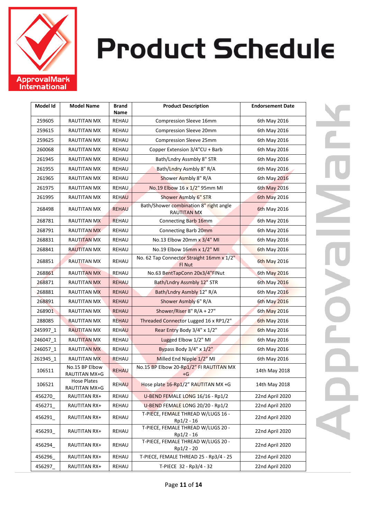

| Model Id | <b>Model Name</b>               | <b>Brand</b><br>Name | <b>Product Description</b>                                   | <b>Endorsement Date</b> |
|----------|---------------------------------|----------------------|--------------------------------------------------------------|-------------------------|
| 259605   | <b>RAUTITAN MX</b>              | REHAU                | Compression Sleeve 16mm                                      | 6th May 2016            |
| 259615   | RAUTITAN MX                     | REHAU                | Compression Sleeve 20mm                                      | 6th May 2016            |
| 259625   | RAUTITAN MX                     | REHAU                | Compression Sleeve 25mm                                      | 6th May 2016            |
| 260068   | RAUTITAN MX                     | REHAU                | Copper Extension 3/4"CU + Barb                               | 6th May 2016            |
| 261945   | RAUTITAN MX                     | REHAU                | Bath/Lndry Assmbly 8" STR                                    | 6th May 2016            |
| 261955   | RAUTITAN MX                     | REHAU                | Bath/Lndry Asmbly 8" R/A                                     | 6th May 2016            |
| 261965   | <b>RAUTITAN MX</b>              | REHAU                | Shower Asmbly 8" R/A                                         | 6th May 2016            |
| 261975   | RAUTITAN MX                     | <b>REHAU</b>         | No.19 Elbow 16 x 1/2" 95mm MI                                | 6th May 2016            |
| 261995   | RAUTITAN MX                     | <b>REHAU</b>         | Shower Asmbly 6" STR                                         | 6th May 2016            |
| 268498   | <b>RAUTITAN MX</b>              | <b>REHAU</b>         | Bath/Shower combination 8" right angle<br><b>RAUTITAN MX</b> | <b>6th May 2016</b>     |
| 268781   | <b>RAUTITAN MX</b>              | <b>REHAU</b>         | Connecting Barb 16mm                                         | 6th May 2016            |
| 268791   | <b>RAUTITAN MX</b>              | REHAU                | Connecting Barb 20mm                                         | 6th May 2016            |
| 268831   | RAUTITAN MX                     | REHAU                | No.13 Elbow 20mm x 3/4" MI                                   | 6th May 2016            |
| 268841   | <b>RAUTITAN MX</b>              | REHAU                | No.19 Elbow 16mm x 1/2" MI                                   | 6th May 2016            |
| 268851   | <b>RAUTITAN MX</b>              | REHAU                | No. 62 Tap Connector Straight 16mm x 1/2"<br>FI Nut          | <b>6th May 2016</b>     |
| 268861   | <b>RAUTITAN MX</b>              | REHAU                | No.63 BentTapConn 20x3/4"FINut                               | 6th May 2016            |
| 268871   | RAUTITAN MX                     | <b>REHAU</b>         | Bath/Lndry Assmbly 12" STR                                   | 6th May 2016            |
| 268881   | <b>RAUTITAN MX</b>              | REHAU                | Bath/Lndry Asmbly 12" R/A                                    | 6th May 2016            |
| 268891   | RAUTITAN MX                     | <b>REHAU</b>         | Shower Asmbly 6" R/A                                         | 6th May 2016            |
| 268901   | RAUTITAN MX                     | <b>REHAU</b>         | Shower/Riser 8" R/A + 27"                                    | 6th May 2016            |
| 288085   | <b>RAUTITAN MX</b>              | <b>REHAU</b>         | Threaded Connector Lugged 16 x RP1/2"                        | <b>6th May 2016</b>     |
| 245997_1 | <b>RAUTITAN MX</b>              | <b>REHAU</b>         | Rear Entry Body 3/4" x 1/2"                                  | 6th May 2016            |
| 246047_1 | <b>RAUTITAN MX</b>              | <b>REHAU</b>         | Lugged Elbow 1/2" MI                                         | 6th May 2016            |
| 246057_1 | <b>RAUTITAN MX</b>              | REHAU                | Bypass Body 3/4" x 1/2"                                      | 6th May 2016            |
| 261945_1 | <b>RAUTITAN MX</b>              | REHAU                | Milled End Nipple 1/2" MI                                    | 6th May 2016            |
| 106511   | No.15 BP Elbow<br>RAUTITAN MX+G | <b>REHAU</b>         | No.15 BP Elbow 20-Rp1/2" FI RAUTITAN MX<br>+G                | 14th May 2018           |
| 106521   | Hose Plates<br>RAUTITAN MX+G    | REHAU                | Hose plate 16-Rp1/2" RAUTITAN MX +G                          | 14th May 2018           |
| 456270   | RAUTITAN RX+                    | REHAU                | U-BEND FEMALE LONG 16/16 - Rp1/2                             | 22nd April 2020         |
| 456271   | RAUTITAN RX+                    | REHAU                | U-BEND FEMALE LONG 20/20 - Rp1/2                             | 22nd April 2020         |
| 456291   | RAUTITAN RX+                    | REHAU                | T-PIECE, FEMALE THREAD W/LUGS 16 -<br>Rp1/2 - 16             | 22nd April 2020         |
| 456293   | RAUTITAN RX+                    | REHAU                | T-PIECE, FEMALE THREAD W/LUGS 20 -<br>Rp1/2 - 16             | 22nd April 2020         |
| 456294   | RAUTITAN RX+                    | REHAU                | T-PIECE, FEMALE THREAD W/LUGS 20 -<br>Rp1/2 - 20             | 22nd April 2020         |
| 456296   | RAUTITAN RX+                    | REHAU                | T-PIECE, FEMALE THREAD 25 - Rp3/4 - 25                       | 22nd April 2020         |
| 456297_  | RAUTITAN RX+                    | REHAU                | T-PIECE 32 - Rp3/4 - 32                                      | 22nd April 2020         |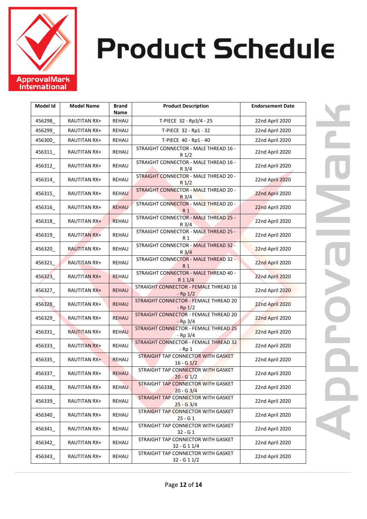

| Model Id | <b>Model Name</b>   | <b>Brand</b><br>Name | <b>Product Description</b>                                | <b>Endorsement Date</b> |
|----------|---------------------|----------------------|-----------------------------------------------------------|-------------------------|
| 456298   | RAUTITAN RX+        | REHAU                | T-PIECE 32 - Rp3/4 - 25                                   | 22nd April 2020         |
| 456299   | RAUTITAN RX+        | REHAU                | T-PIECE 32 - Rp1 - 32                                     | 22nd April 2020         |
| 456300   | RAUTITAN RX+        | REHAU                | T-PIECE 40 - Rp1 - 40                                     | 22nd April 2020         |
| 456311   | RAUTITAN RX+        | REHAU                | STRAIGHT CONNECTOR - MALE THREAD 16 -<br>$R_1/2$          | 22nd April 2020         |
| 456312_  | RAUTITAN RX+        | REHAU                | STRAIGHT CONNECTOR - MALE THREAD 16 -<br>$R \frac{3}{4}$  | 22nd April 2020         |
| 456314_  | RAUTITAN RX+        | REHAU                | STRAIGHT CONNECTOR - MALE THREAD 20 -<br>$R_{1/2}$        | 22nd April 2020         |
| 456315   | RAUTITAN RX+        | <b>REHAU</b>         | STRAIGHT CONNECTOR - MALE THREAD 20 -<br>$R_3/4$          | 22nd April 2020         |
| 456316   | RAUTITAN RX+        | <b>REHAU</b>         | STRAIGHT CONNECTOR - MALE THREAD 20 -<br>R 1              | 22nd April 2020         |
| 456318   | RAUTITAN RX+        | <b>REHAU</b>         | STRAIGHT CONNECTOR - MALE THREAD 25 -<br>R <sub>3/4</sub> | 22nd April 2020         |
| 456319   | <b>RAUTITAN RX+</b> | REHAU                | STRAIGHT CONNECTOR - MALE THREAD 25 -<br>R 1              | 22nd April 2020         |
| 456320   | <b>RAUTITAN RX+</b> | REHAU                | STRAIGHT CONNECTOR - MALE THREAD 32 -<br>$R_{3/4}$        | 22nd April 2020         |
| 456321   | <b>RAUTITAN RX+</b> | REHAU                | STRAIGHT CONNECTOR - MALE THREAD 32 -<br>R 1              | 22nd April 2020         |
| 456323   | <b>RAUTITAN RX+</b> | <b>REHAU</b>         | STRAIGHT CONNECTOR - MALE THREAD 40 -<br>R 1 1/4          | 22nd April 2020         |
| 456327_  | RAUTITAN RX+        | <b>REHAU</b>         | STRAIGHT CONNECTOR - FEMALE THREAD 16<br>$-$ Rp $1/2$     | 22nd April 2020         |
| 456328   | RAUTITAN RX+        | <b>REHAU</b>         | STRAIGHT CONNECTOR - FEMALE THREAD 20<br>$-$ Rp $1/2$     | 22nd April 2020         |
| 456329_  | <b>RAUTITAN RX+</b> | <b>REHAU</b>         | STRAIGHT CONNECTOR - FEMALE THREAD 20<br>$-Rp 3/4$        | 22nd April 2020         |
| 456331   | <b>RAUTITAN RX+</b> | <b>REHAU</b>         | STRAIGHT CONNECTOR - FEMALE THREAD 25<br>- Rp 3/4         | 22nd April 2020         |
| 456333_  | <b>RAUTITAN RX+</b> | REHAU                | STRAIGHT CONNECTOR - FEMALE THREAD 32<br>- Rp 1           | 22nd April 2020         |
| 456335   | RAUTITAN RX+        | <b>REHAU</b>         | STRAIGHT TAP CONNECTOR WITH GASKET<br>$16 - G$ $1/2$      | 22nd April 2020         |
| 456337   | RAUTITAN RX+        | <b>REHAU</b>         | STRAIGHT TAP CONNECTOR WITH GASKET<br>$20 - G_1/2$        | 22nd April 2020         |
| 456338   | RAUTITAN RX+        | <b>REHAU</b>         | STRAIGHT TAP CONNECTOR WITH GASKET<br>$20 - G$ 3/4        | 22nd April 2020         |
| 456339   | RAUTITAN RX+        | REHAU                | STRAIGHT TAP CONNECTOR WITH GASKET<br>$25 - G$ 3/4        | 22nd April 2020         |
| 456340   | RAUTITAN RX+        | REHAU                | STRAIGHT TAP CONNECTOR WITH GASKET<br>25 - G 1            | 22nd April 2020         |
| 456341   | RAUTITAN RX+        | REHAU                | STRAIGHT TAP CONNECTOR WITH GASKET<br>$32 - G1$           | 22nd April 2020         |
| 456342_  | RAUTITAN RX+        | REHAU                | STRAIGHT TAP CONNECTOR WITH GASKET<br>32 - G 1 1/4        | 22nd April 2020         |
| 456343   | RAUTITAN RX+        | REHAU                | STRAIGHT TAP CONNECTOR WITH GASKET<br>32 - G 1 1/2        | 22nd April 2020         |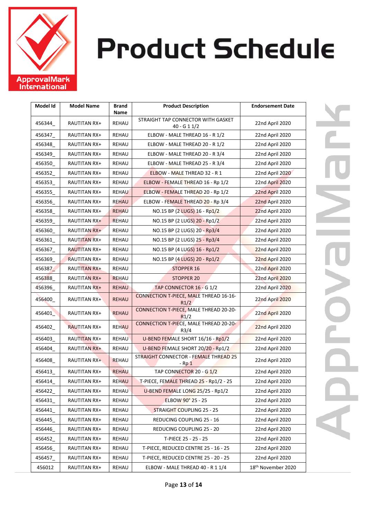

| Model Id | <b>Model Name</b>   | <b>Brand</b><br>Name | <b>Product Description</b>                      | <b>Endorsement Date</b> |
|----------|---------------------|----------------------|-------------------------------------------------|-------------------------|
|          |                     |                      | STRAIGHT TAP CONNECTOR WITH GASKET              |                         |
| 456344   | <b>RAUTITAN RX+</b> | REHAU                | 40 - G 1 $1/2$                                  | 22nd April 2020         |
| 456347_  | <b>RAUTITAN RX+</b> | REHAU                | ELBOW - MALE THREAD 16 - R 1/2                  | 22nd April 2020         |
| 456348   | <b>RAUTITAN RX+</b> | REHAU                | ELBOW - MALE THREAD 20 - R 1/2                  | 22nd April 2020         |
| 456349   | RAUTITAN RX+        | REHAU                | ELBOW - MALE THREAD 20 - R 3/4                  | 22nd April 2020         |
| 456350_  | <b>RAUTITAN RX+</b> | REHAU                | ELBOW - MALE THREAD 25 - R 3/4                  | 22nd April 2020         |
| 456352   | <b>RAUTITAN RX+</b> | REHAU                | ELBOW - MALE THREAD 32 - R 1                    | 22nd April 2020         |
| 456353   | <b>RAUTITAN RX+</b> | REHAU                | ELBOW - FEMALE THREAD 16 - Rp 1/2               | 22nd April 2020         |
| 456355   | RAUTITAN RX+        | <b>REHAU</b>         | ELBOW - FEMALE THREAD 20 - Rp 1/2               | 22nd April 2020         |
| 456356   | RAUTITAN RX+        | <b>REHAU</b>         | ELBOW - FEMALE THREAD 20 - Rp 3/4               | 22nd April 2020         |
| 456358   | RAUTITAN RX+        | <b>REHAU</b>         | NO.15 BP (2 LUGS) 16 - Rp1/2                    | 22nd April 2020         |
| 456359   | RAUTITAN RX+        | <b>REHAU</b>         | NO.15 BP (2 LUGS) 20 - Rp1/2                    | 22nd April 2020         |
| 456360   | <b>RAUTITAN RX+</b> | REHAU                | NO.15 BP (2 LUGS) 20 - Rp3/4                    | 22nd April 2020         |
| 456361   | <b>RAUTITAN RX+</b> | REHAU                | NO.15 BP (2 LUGS) 25 - Rp3/4                    | 22nd April 2020         |
| 456367   | <b>RAUTITAN RX+</b> | REHAU                | NO.15 BP (4 LUGS) 16 - Rp1/2                    | 22nd April 2020         |
| 456369   | <b>RAUTITAN RX+</b> | REHAU                | NO.15 BP (4 LUGS) 20 - Rp1/2                    | 22nd April 2020         |
| 456387   | RAUTITAN RX+        | REHAU                | <b>STOPPER 16</b>                               | 22nd April 2020         |
| 456388   | <b>RAUTITAN RX+</b> | <b>REHAU</b>         | <b>STOPPER 20</b>                               | <b>22nd April 2020</b>  |
| 456396   | <b>RAUTITAN RX+</b> | <b>REHAU</b>         | TAP CONNECTOR 16 - G 1/2                        | 22nd April 2020         |
| 456400   | RAUTITAN RX+        | <b>REHAU</b>         | CONNECTION T-PIECE, MALE THREAD 16-16-<br>R1/2  | 22nd April 2020         |
| 456401   | RAUTITAN RX+        | <b>REHAU</b>         | CONNECTION T-PIECE, MALE THREAD 20-20-<br>R1/2  | 22nd April 2020         |
| 456402_  | <b>RAUTITAN RX+</b> | <b>REHAU</b>         | CONNECTION T-PIECE, MALE THREAD 20-20-<br>R3/4  | 22nd April 2020         |
| 456403   | <b>RAUTITAN RX+</b> | <b>REHAU</b>         | U-BEND FEMALE SHORT 16/16 - Rp1/2               | 22nd April 2020         |
| 456404_  | <b>RAUTITAN RX+</b> | REHAU                | U-BEND FEMALE SHORT 20/20 - Rp1/2               | 22nd April 2020         |
| 456408   | RAUTITAN RX+        | <b>REHAU</b>         | STRAIGHT CONNECTOR - FEMALE THREAD 25<br>$-Rp1$ | 22nd April 2020         |
| 456413_  | <b>RAUTITAN RX+</b> | <b>REHAU</b>         | TAP CONNECTOR 20 - G 1/2                        | 22nd April 2020         |
| 456414   | RAUTITAN RX+        | <b>REHAU</b>         | T-PIECE, FEMALE THREAD 25 - Rp1/2 - 25          | 22nd April 2020         |
| 456422   | RAUTITAN RX+        | <b>REHAU</b>         | U-BEND FEMALE LONG 25/25 - Rp1/2                | 22nd April 2020         |
| 456431   | RAUTITAN RX+        | REHAU                | ELBOW 90° 25 - 25                               | 22nd April 2020         |
| 456441   | RAUTITAN RX+        | REHAU                | <b>STRAIGHT COUPLING 25 - 25</b>                | 22nd April 2020         |
| 456445   | RAUTITAN RX+        | REHAU                | REDUCING COUPLING 25 - 16                       | 22nd April 2020         |
| 456446   | RAUTITAN RX+        | REHAU                | REDUCING COUPLING 25 - 20                       | 22nd April 2020         |
| 456452   | RAUTITAN RX+        | REHAU                | T-PIECE 25 - 25 - 25                            | 22nd April 2020         |
| 456456   | RAUTITAN RX+        | REHAU                | T-PIECE, REDUCED CENTRE 25 - 16 - 25            | 22nd April 2020         |
| 456457   | RAUTITAN RX+        | REHAU                | T-PIECE, REDUCED CENTRE 25 - 20 - 25            | 22nd April 2020         |
| 456012   | RAUTITAN RX+        | REHAU                | ELBOW - MALE THREAD 40 - R 1 1/4                | 18th November 2020      |